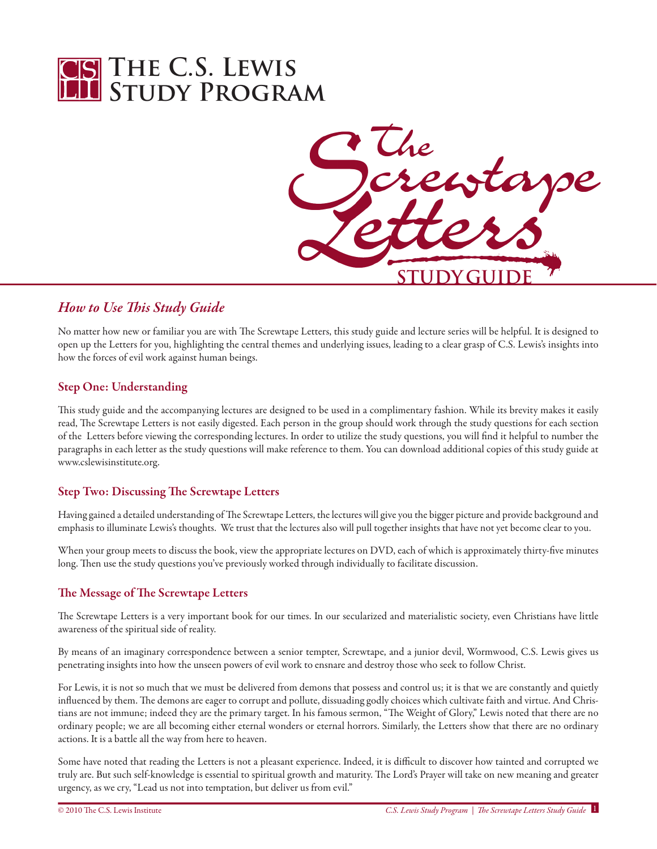



# *How to Use This Study Guide*

No matter how new or familiar you are with The Screwtape Letters, this study guide and lecture series will be helpful. It is designed to open up the Letters for you, highlighting the central themes and underlying issues, leading to a clear grasp of C.S. Lewis's insights into how the forces of evil work against human beings.

## Step One: Understanding

This study guide and the accompanying lectures are designed to be used in a complimentary fashion. While its brevity makes it easily read, The Screwtape Letters is not easily digested. Each person in the group should work through the study questions for each section of the Letters before viewing the corresponding lectures. In order to utilize the study questions, you will find it helpful to number the paragraphs in each letter as the study questions will make reference to them. You can download additional copies of this study guide at www.cslewisinstitute.org.

## Step Two: Discussing The Screwtape Letters

Having gained a detailed understanding of The Screwtape Letters, the lectures will give you the bigger picture and provide background and emphasis to illuminate Lewis's thoughts. We trust that the lectures also will pull together insights that have not yet become clear to you.

When your group meets to discuss the book, view the appropriate lectures on DVD, each of which is approximately thirty-five minutes long. Then use the study questions you've previously worked through individually to facilitate discussion.

## The Message of The Screwtape Letters

The Screwtape Letters is a very important book for our times. In our secularized and materialistic society, even Christians have little awareness of the spiritual side of reality.

By means of an imaginary correspondence between a senior tempter, Screwtape, and a junior devil, Wormwood, C.S. Lewis gives us penetrating insights into how the unseen powers of evil work to ensnare and destroy those who seek to follow Christ.

For Lewis, it is not so much that we must be delivered from demons that possess and control us; it is that we are constantly and quietly influenced by them. The demons are eager to corrupt and pollute, dissuading godly choices which cultivate faith and virtue. And Christians are not immune; indeed they are the primary target. In his famous sermon, "The Weight of Glory," Lewis noted that there are no ordinary people; we are all becoming either eternal wonders or eternal horrors. Similarly, the Letters show that there are no ordinary actions. It is a battle all the way from here to heaven.

Some have noted that reading the Letters is not a pleasant experience. Indeed, it is difficult to discover how tainted and corrupted we truly are. But such self-knowledge is essential to spiritual growth and maturity. The Lord's Prayer will take on new meaning and greater urgency, as we cry, "Lead us not into temptation, but deliver us from evil."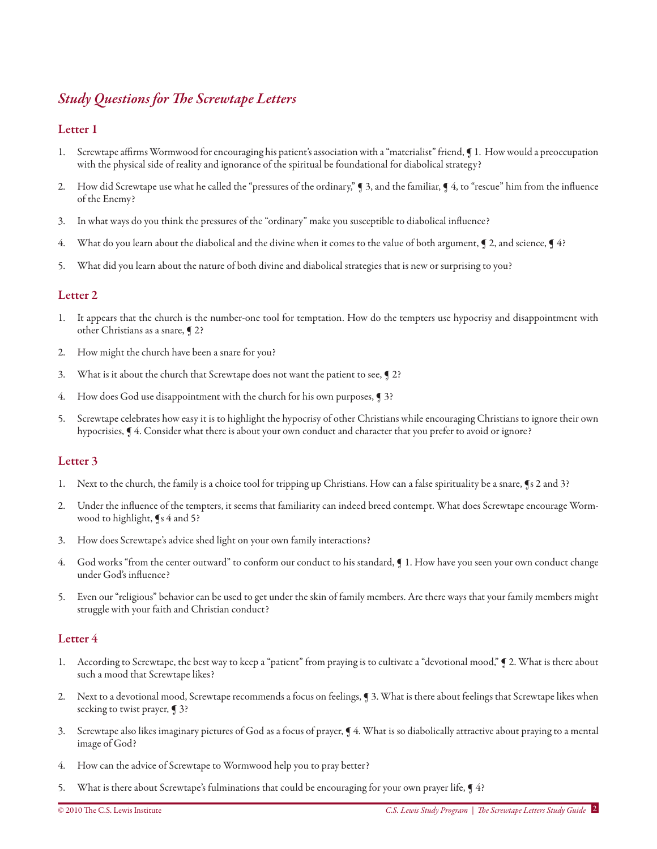# *Study Questions for The Screwtape Letters*

### Letter 1

- 1. Screwtape affirms Wormwood for encouraging his patient's association with a "materialist" friend, ¶ 1. How would a preoccupation with the physical side of reality and ignorance of the spiritual be foundational for diabolical strategy?
- 2. How did Screwtape use what he called the "pressures of the ordinary," ¶ 3, and the familiar, ¶ 4, to "rescue" him from the influence of the Enemy?
- 3. In what ways do you think the pressures of the "ordinary" make you susceptible to diabolical influence?
- 4. What do you learn about the diabolical and the divine when it comes to the value of both argument, 12, and science, 14?
- 5. What did you learn about the nature of both divine and diabolical strategies that is new or surprising to you?

## Letter 2

- 1. It appears that the church is the number-one tool for temptation. How do the tempters use hypocrisy and disappointment with other Christians as a snare, ¶ 2?
- 2. How might the church have been a snare for you?
- 3. What is it about the church that Screwtape does not want the patient to see, ¶ 2?
- 4. How does God use disappointment with the church for his own purposes, **[3**?]
- 5. Screwtape celebrates how easy it is to highlight the hypocrisy of other Christians while encouraging Christians to ignore their own hypocrisies, ¶ 4. Consider what there is about your own conduct and character that you prefer to avoid or ignore?

#### Letter 3

- 1. Next to the church, the family is a choice tool for tripping up Christians. How can a false spirituality be a snare, ¶s 2 and 3?
- 2. Under the influence of the tempters, it seems that familiarity can indeed breed contempt. What does Screwtape encourage Wormwood to highlight, ¶s 4 and 5?
- 3. How does Screwtape's advice shed light on your own family interactions?
- 4. God works "from the center outward" to conform our conduct to his standard, ¶ 1. How have you seen your own conduct change under God's influence?
- 5. Even our "religious" behavior can be used to get under the skin of family members. Are there ways that your family members might struggle with your faith and Christian conduct?

- According to Screwtape, the best way to keep a "patient" from praying is to cultivate a "devotional mood,"  $\bigcirc$  2. What is there about such a mood that Screwtape likes?
- 2. Next to a devotional mood, Screwtape recommends a focus on feelings, ¶ 3. What is there about feelings that Screwtape likes when seeking to twist prayer, **[**3?
- 3. Screwtape also likes imaginary pictures of God as a focus of prayer, ¶ 4. What is so diabolically attractive about praying to a mental image of God?
- 4. How can the advice of Screwtape to Wormwood help you to pray better?
- 5. What is there about Screwtape's fulminations that could be encouraging for your own prayer life, ¶ 4?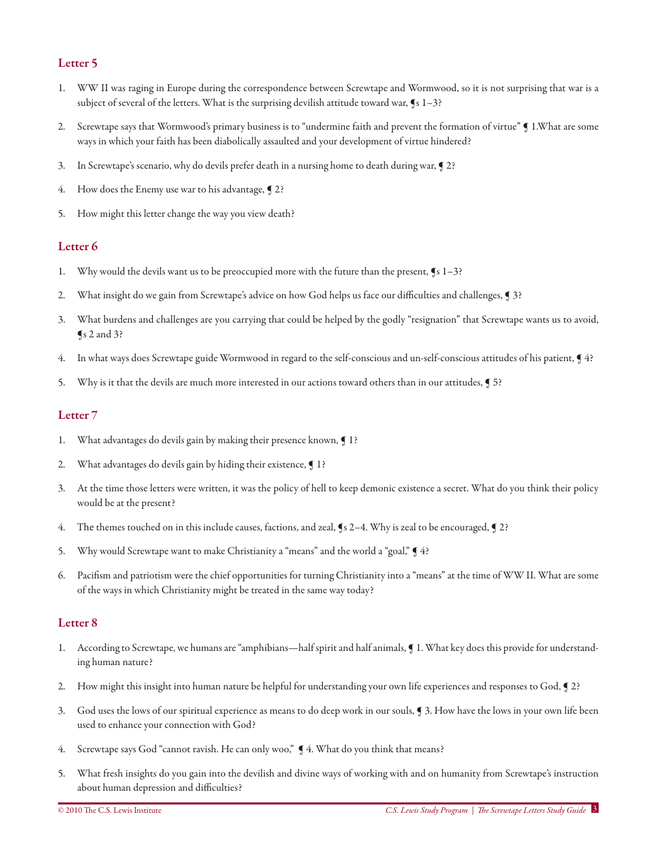- 1. WW II was raging in Europe during the correspondence between Screwtape and Wormwood, so it is not surprising that war is a subject of several of the letters. What is the surprising devilish attitude toward war, ¶s 1–3?
- 2. Screwtape says that Wormwood's primary business is to "undermine faith and prevent the formation of virtue" ¶ 1.What are some ways in which your faith has been diabolically assaulted and your development of virtue hindered?
- 3. In Screwtape's scenario, why do devils prefer death in a nursing home to death during war, ¶ 2?
- 4. How does the Enemy use war to his advantage, 12?
- 5. How might this letter change the way you view death?

## Letter 6

- 1. Why would the devils want us to be preoccupied more with the future than the present, ¶s 1–3?
- 2. What insight do we gain from Screwtape's advice on how God helps us face our difficulties and challenges, ¶ 3?
- 3. What burdens and challenges are you carrying that could be helped by the godly "resignation" that Screwtape wants us to avoid, ¶s 2 and 3?
- 4. In what ways does Screwtape guide Wormwood in regard to the self-conscious and un-self-conscious attitudes of his patient, ¶ 4?
- 5. Why is it that the devils are much more interested in our actions toward others than in our attitudes,  $\sqrt{5}$ ?

## Letter 7

- 1. What advantages do devils gain by making their presence known, ¶ 1?
- 2. What advantages do devils gain by hiding their existence,  $\int$  1?
- 3. At the time those letters were written, it was the policy of hell to keep demonic existence a secret. What do you think their policy would be at the present?
- 4. The themes touched on in this include causes, factions, and zeal, ¶s 2–4. Why is zeal to be encouraged, ¶ 2?
- 5. Why would Screwtape want to make Christianity a "means" and the world a "goal,"  $\blacktriangleleft$  4?
- 6. Pacifism and patriotism were the chief opportunities for turning Christianity into a "means" at the time of WW II. What are some of the ways in which Christianity might be treated in the same way today?

- 1. According to Screwtape, we humans are "amphibians—half spirit and half animals, ¶ 1. What key does this provide for understanding human nature?
- 2. How might this insight into human nature be helpful for understanding your own life experiences and responses to God, ¶ 2?
- 3. God uses the lows of our spiritual experience as means to do deep work in our souls, ¶ 3. How have the lows in your own life been used to enhance your connection with God?
- 4. Screwtape says God "cannot ravish. He can only woo,"  $\oint$  4. What do you think that means?
- 5. What fresh insights do you gain into the devilish and divine ways of working with and on humanity from Screwtape's instruction about human depression and difficulties?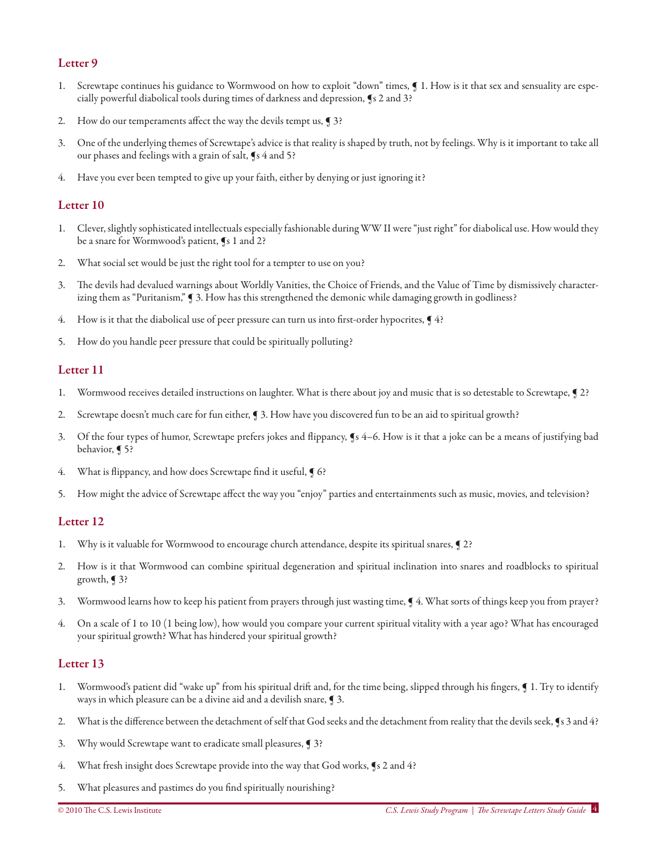- 1. Screwtape continues his guidance to Wormwood on how to exploit "down" times, ¶ 1. How is it that sex and sensuality are especially powerful diabolical tools during times of darkness and depression, ¶s 2 and 3?
- 2. How do our temperaments affect the way the devils tempt us, **[**3?
- 3. One of the underlying themes of Screwtape's advice is that reality is shaped by truth, not by feelings. Why is it important to take all our phases and feelings with a grain of salt, ¶s 4 and 5?
- Have you ever been tempted to give up your faith, either by denying or just ignoring it?

#### Letter 10

- 1. Clever, slightly sophisticated intellectuals especially fashionable during WW II were "just right" for diabolical use. How would they be a snare for Wormwood's patient, ¶s 1 and 2?
- 2. What social set would be just the right tool for a tempter to use on you?
- 3. The devils had devalued warnings about Worldly Vanities, the Choice of Friends, and the Value of Time by dismissively characterizing them as "Puritanism," ¶ 3. How has this strengthened the demonic while damaging growth in godliness?
- 4. How is it that the diabolical use of peer pressure can turn us into first-order hypocrites,  $\sqrt{4}$ ?
- 5. How do you handle peer pressure that could be spiritually polluting?

#### Letter 11

- 1. Wormwood receives detailed instructions on laughter. What is there about joy and music that is so detestable to Screwtape, ¶ 2?
- 2. Screwtape doesn't much care for fun either, ¶ 3. How have you discovered fun to be an aid to spiritual growth?
- 3. Of the four types of humor, Screwtape prefers jokes and flippancy, ¶s 4–6. How is it that a joke can be a means of justifying bad behavior, ¶ 5?
- 4. What is flippancy, and how does Screwtape find it useful,  $\int$  6?
- 5. How might the advice of Screwtape affect the way you "enjoy" parties and entertainments such as music, movies, and television?

## Letter 12

- 1. Why is it valuable for Wormwood to encourage church attendance, despite its spiritual snares, ¶ 2?
- 2. How is it that Wormwood can combine spiritual degeneration and spiritual inclination into snares and roadblocks to spiritual growth,  $\sqrt{ }$  3?
- 3. Wormwood learns how to keep his patient from prayers through just wasting time, ¶ 4. What sorts of things keep you from prayer?
- 4. On a scale of 1 to 10 (1 being low), how would you compare your current spiritual vitality with a year ago? What has encouraged your spiritual growth? What has hindered your spiritual growth?

- 1. Wormwood's patient did "wake up" from his spiritual drift and, for the time being, slipped through his fingers,  $\blacksquare$  1. Try to identify ways in which pleasure can be a divine aid and a devilish snare, ¶ 3.
- 2. What is the difference between the detachment of self that God seeks and the detachment from reality that the devils seek, ¶s 3 and 4?
- 3. Why would Screwtape want to eradicate small pleasures, ¶ 3?
- 4. What fresh insight does Screwtape provide into the way that God works, ¶s 2 and 4?
- 5. What pleasures and pastimes do you find spiritually nourishing?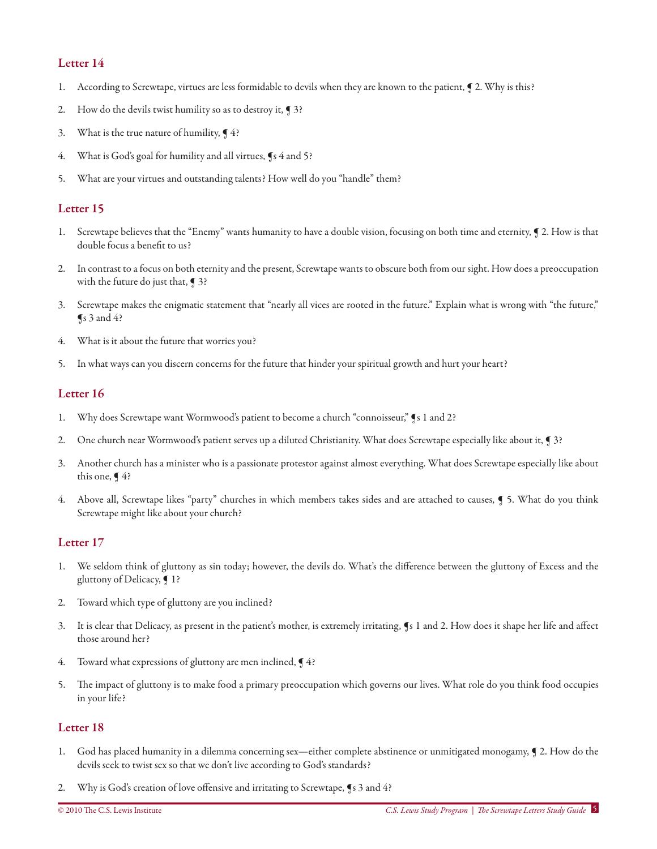- 1. According to Screwtape, virtues are less formidable to devils when they are known to the patient, ¶ 2. Why is this?
- 2. How do the devils twist humility so as to destroy it, ¶ 3?
- 3. What is the true nature of humility,  $\P$ 4?
- 4. What is God's goal for humility and all virtues,  $\oint s 4$  and 5?
- 5. What are your virtues and outstanding talents? How well do you "handle" them?

### Letter 15

- 1. Screwtape believes that the "Enemy" wants humanity to have a double vision, focusing on both time and eternity, ¶ 2. How is that double focus a benefit to us?
- 2. In contrast to a focus on both eternity and the present, Screwtape wants to obscure both from our sight. How does a preoccupation with the future do just that, ¶ 3?
- 3. Screwtape makes the enigmatic statement that "nearly all vices are rooted in the future." Explain what is wrong with "the future,"  $\sqrt{\ }$ s 3 and 4?
- 4. What is it about the future that worries you?
- 5. In what ways can you discern concerns for the future that hinder your spiritual growth and hurt your heart?

#### Letter 16

- 1. Why does Screwtape want Wormwood's patient to become a church "connoisseur," ¶s 1 and 2?
- 2. One church near Wormwood's patient serves up a diluted Christianity. What does Screwtape especially like about it, ¶ 3?
- 3. Another church has a minister who is a passionate protestor against almost everything. What does Screwtape especially like about this one,  $\P$ 4?
- 4. Above all, Screwtape likes "party" churches in which members takes sides and are attached to causes, ¶ 5. What do you think Screwtape might like about your church?

## Letter 17

- 1. We seldom think of gluttony as sin today; however, the devils do. What's the difference between the gluttony of Excess and the gluttony of Delicacy, ¶ 1?
- 2. Toward which type of gluttony are you inclined?
- 3. It is clear that Delicacy, as present in the patient's mother, is extremely irritating, ¶s 1 and 2. How does it shape her life and affect those around her?
- Toward what expressions of gluttony are men inclined,  $\P$  4?
- 5. The impact of gluttony is to make food a primary preoccupation which governs our lives. What role do you think food occupies in your life?

- 1. God has placed humanity in a dilemma concerning sex—either complete abstinence or unmitigated monogamy, ¶ 2. How do the devils seek to twist sex so that we don't live according to God's standards?
- 2. Why is God's creation of love offensive and irritating to Screwtape, ¶s 3 and 4?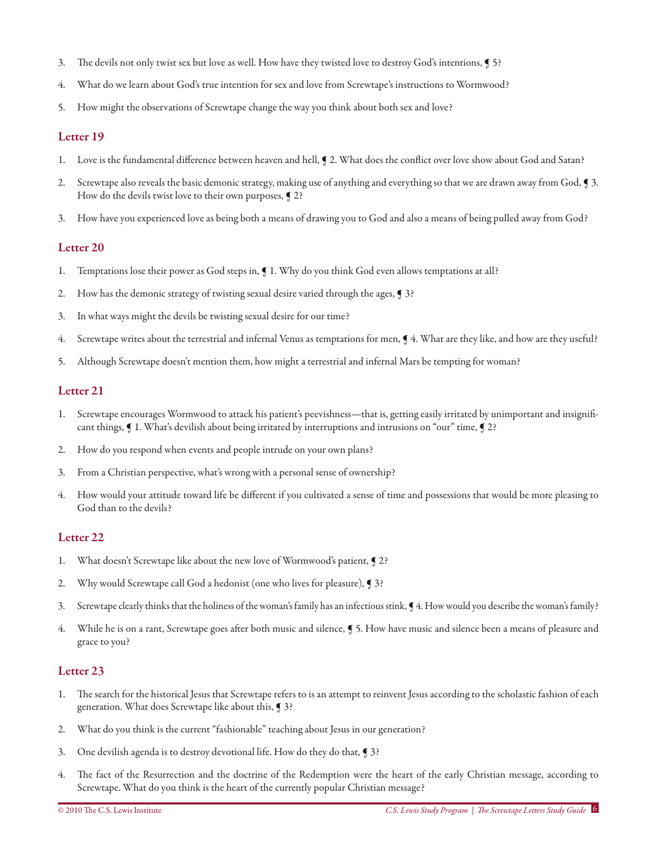- 3. The devils not only twist sex but love as well. How have they twisted love to destroy God's intentions, ¶ 5?
- 4. What do we learn about God's true intention for sex and love from Screwtape's instructions to Wormwood?
- 5. How might the observations of Screwtape change the way you think about both sex and love?

- 1. Love is the fundamental difference between heaven and hell, ¶ 2. What does the conflict over love show about God and Satan?
- 2. Screwtape also reveals the basic demonic strategy, making use of anything and everything so that we are drawn away from God, ¶ 3. How do the devils twist love to their own purposes,  $\P$  2?
- 3. How have you experienced love as being both a means of drawing you to God and also a means of being pulled away from God?

#### Letter 20

- 1. Temptations lose their power as God steps in, ¶ 1. Why do you think God even allows temptations at all?
- 2. How has the demonic strategy of twisting sexual desire varied through the ages, ¶ 3?
- 3. In what ways might the devils be twisting sexual desire for our time?
- 4. Screwtape writes about the terrestrial and infernal Venus as temptations for men, ¶ 4. What are they like, and how are they useful?
- 5. Although Screwtape doesn't mention them, how might a terrestrial and infernal Mars be tempting for woman?

#### Letter 21

- 1. Screwtape encourages Wormwood to attack his patient's peevishness—that is, getting easily irritated by unimportant and insignificant things, ¶ 1. What's devilish about being irritated by interruptions and intrusions on "our" time, ¶ 2?
- 2. How do you respond when events and people intrude on your own plans?
- 3. From a Christian perspective, what's wrong with a personal sense of ownership?
- 4. How would your attitude toward life be different if you cultivated a sense of time and possessions that would be more pleasing to God than to the devils?

#### Letter 22

- 1. What doesn't Screwtape like about the new love of Wormwood's patient, ¶ 2?
- 2. Why would Screwtape call God a hedonist (one who lives for pleasure), **[3**?
- 3. Screwtape clearly thinks that the holiness of the woman's family has an infectious stink, ¶ 4. How would you describe the woman's family?
- 4. While he is on a rant, Screwtape goes after both music and silence, ¶ 5. How have music and silence been a means of pleasure and grace to you?

- 1. The search for the historical Jesus that Screwtape refers to is an attempt to reinvent Jesus according to the scholastic fashion of each generation. What does Screwtape like about this, ¶ 3?
- 2. What do you think is the current "fashionable" teaching about Jesus in our generation?
- 3. One devilish agenda is to destroy devotional life. How do they do that, ¶ 3?
- 4. The fact of the Resurrection and the doctrine of the Redemption were the heart of the early Christian message, according to Screwtape. What do you think is the heart of the currently popular Christian message?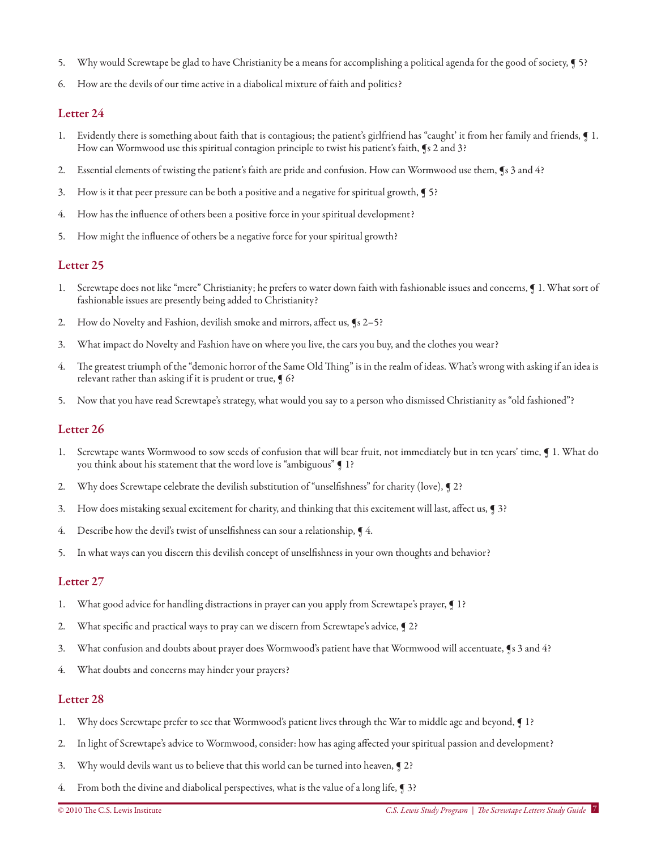- 5. Why would Screwtape be glad to have Christianity be a means for accomplishing a political agenda for the good of society, ¶ 5?
- 6. How are the devils of our time active in a diabolical mixture of faith and politics?

- 1. Evidently there is something about faith that is contagious; the patient's girlfriend has "caught' it from her family and friends, ¶ 1. How can Wormwood use this spiritual contagion principle to twist his patient's faith, ¶s 2 and 3?
- 2. Essential elements of twisting the patient's faith are pride and confusion. How can Wormwood use them, ¶s 3 and 4?
- 3. How is it that peer pressure can be both a positive and a negative for spiritual growth, ¶ 5?
- 4. How has the influence of others been a positive force in your spiritual development?
- 5. How might the influence of others be a negative force for your spiritual growth?

#### Letter 25

- 1. Screwtape does not like "mere" Christianity; he prefers to water down faith with fashionable issues and concerns, ¶ 1. What sort of fashionable issues are presently being added to Christianity?
- 2. How do Novelty and Fashion, devilish smoke and mirrors, affect us, ¶s 2–5?
- 3. What impact do Novelty and Fashion have on where you live, the cars you buy, and the clothes you wear?
- 4. The greatest triumph of the "demonic horror of the Same Old Thing" is in the realm of ideas. What's wrong with asking if an idea is relevant rather than asking if it is prudent or true,  $\P$  6?
- 5. Now that you have read Screwtape's strategy, what would you say to a person who dismissed Christianity as "old fashioned"?

#### Letter 26

- 1. Screwtape wants Wormwood to sow seeds of confusion that will bear fruit, not immediately but in ten years' time, ¶ 1. What do you think about his statement that the word love is "ambiguous" ¶ 1?
- 2. Why does Screwtape celebrate the devilish substitution of "unselfishness" for charity (love), ¶ 2?
- 3. How does mistaking sexual excitement for charity, and thinking that this excitement will last, affect us, ¶ 3?
- 4. Describe how the devil's twist of unselfishness can sour a relationship,  $\P$ 4.
- 5. In what ways can you discern this devilish concept of unselfishness in your own thoughts and behavior?

#### Letter 27

- 1. What good advice for handling distractions in prayer can you apply from Screwtape's prayer, ¶ 1?
- 2. What specific and practical ways to pray can we discern from Screwtape's advice, ¶ 2?
- 3. What confusion and doubts about prayer does Wormwood's patient have that Wormwood will accentuate, ¶s 3 and 4?
- 4. What doubts and concerns may hinder your prayers?

- 1. Why does Screwtape prefer to see that Wormwood's patient lives through the War to middle age and beyond, ¶ 1?
- 2. In light of Screwtape's advice to Wormwood, consider: how has aging affected your spiritual passion and development?
- 3. Why would devils want us to believe that this world can be turned into heaven, ¶ 2?
- 4. From both the divine and diabolical perspectives, what is the value of a long life, ¶ 3?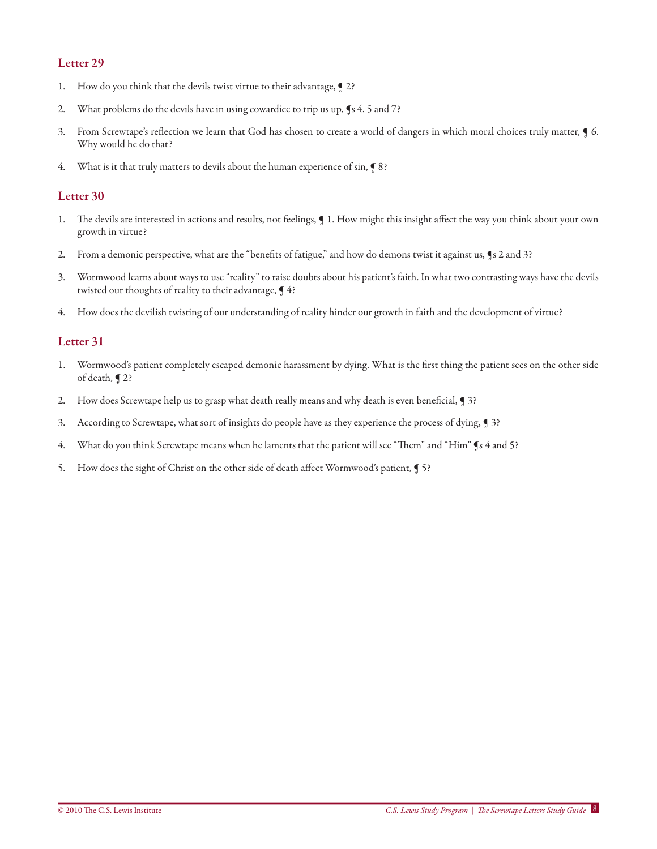- 1. How do you think that the devils twist virtue to their advantage, ¶ 2?
- 2. What problems do the devils have in using cowardice to trip us up, ¶s 4, 5 and 7?
- 3. From Screwtape's reflection we learn that God has chosen to create a world of dangers in which moral choices truly matter, ¶ 6. Why would he do that?
- 4. What is it that truly matters to devils about the human experience of sin, **[**8?

## Letter 30

- 1. The devils are interested in actions and results, not feelings, ¶ 1. How might this insight affect the way you think about your own growth in virtue?
- 2. From a demonic perspective, what are the "benefits of fatigue," and how do demons twist it against us, ¶s 2 and 3?
- 3. Wormwood learns about ways to use "reality" to raise doubts about his patient's faith. In what two contrasting ways have the devils twisted our thoughts of reality to their advantage, ¶ 4?
- 4. How does the devilish twisting of our understanding of reality hinder our growth in faith and the development of virtue?

- 1. Wormwood's patient completely escaped demonic harassment by dying. What is the first thing the patient sees on the other side of death, ¶ 2?
- 2. How does Screwtape help us to grasp what death really means and why death is even beneficial, ¶ 3?
- 3. According to Screwtape, what sort of insights do people have as they experience the process of dying, ¶ 3?
- 4. What do you think Screwtape means when he laments that the patient will see "Them" and "Him" ¶s 4 and 5?
- 5. How does the sight of Christ on the other side of death affect Wormwood's patient, ¶ 5?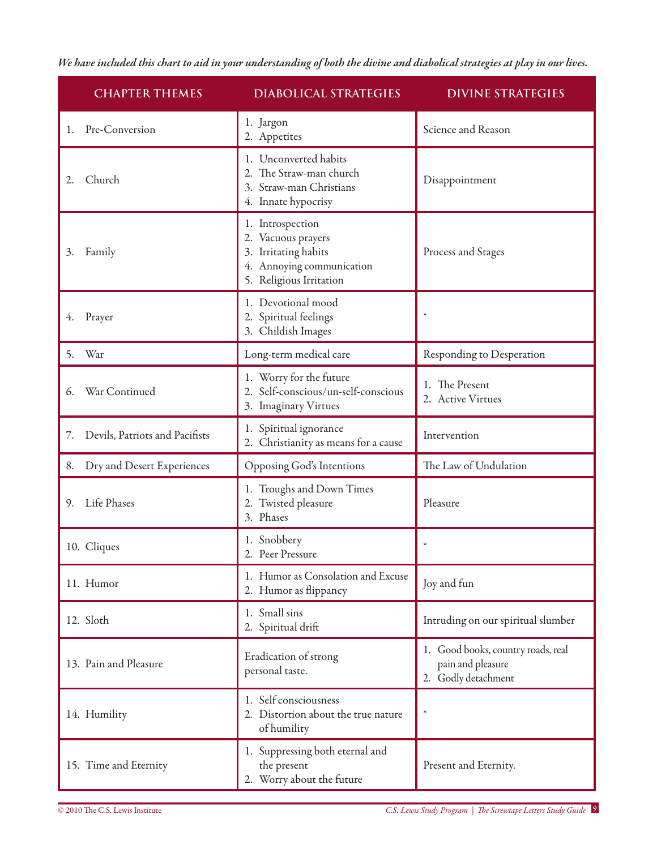*We have included this chart to aid in your understanding of both the divine and diabolical strategies at play in our lives.* 

| <b>CHAPTER THEMES</b>                | <b>DIABOLICAL STRATEGIES</b>                                                                                           | <b>DIVINE STRATEGIES</b>                                                       |
|--------------------------------------|------------------------------------------------------------------------------------------------------------------------|--------------------------------------------------------------------------------|
| Pre-Conversion<br>1.                 | 1. Jargon<br>2. Appetites                                                                                              | Science and Reason                                                             |
| Church<br>2.                         | 1. Unconverted habits<br>2. The Straw-man church<br>3. Straw-man Christians<br>4. Innate hypocrisy                     | Disappointment                                                                 |
| 3.<br>Family                         | 1. Introspection<br>2. Vacuous prayers<br>3. Irritating habits<br>4. Annoying communication<br>5. Religious Irritation | Process and Stages                                                             |
| Prayer<br>4.                         | 1. Devotional mood<br>2. Spiritual feelings<br>3. Childish Images                                                      |                                                                                |
| War<br>5.                            | Long-term medical care                                                                                                 | Responding to Desperation                                                      |
| War Continued<br>6.                  | 1. Worry for the future<br>2. Self-conscious/un-self-conscious<br>3. Imaginary Virtues                                 | 1. The Present<br>2. Active Virtues                                            |
| Devils, Patriots and Pacifists<br>7. | 1. Spiritual ignorance<br>2. Christianity as means for a cause                                                         | Intervention                                                                   |
| Dry and Desert Experiences<br>8.     | Opposing God's Intentions                                                                                              | The Law of Undulation                                                          |
| Life Phases<br>9.                    | 1. Troughs and Down Times<br>2. Twisted pleasure<br>3. Phases                                                          | Pleasure                                                                       |
| 10. Cliques                          | 1. Snobbery<br>2. Peer Pressure                                                                                        |                                                                                |
| 11. Humor                            | 1. Humor as Consolation and Excuse<br>2. Humor as flippancy                                                            | Joy and fun                                                                    |
| 12. Sloth                            | 1. Small sins<br>2. Spiritual drift                                                                                    | Intruding on our spiritual slumber                                             |
| 13. Pain and Pleasure                | Eradication of strong<br>personal taste.                                                                               | 1. Good books, country roads, real<br>pain and pleasure<br>2. Godly detachment |
| 14. Humility                         | 1. Self consciousness<br>2. Distortion about the true nature<br>of humility                                            | $\ast$                                                                         |
| 15. Time and Eternity                | 1. Suppressing both eternal and<br>the present<br>2. Worry about the future                                            | Present and Eternity.                                                          |